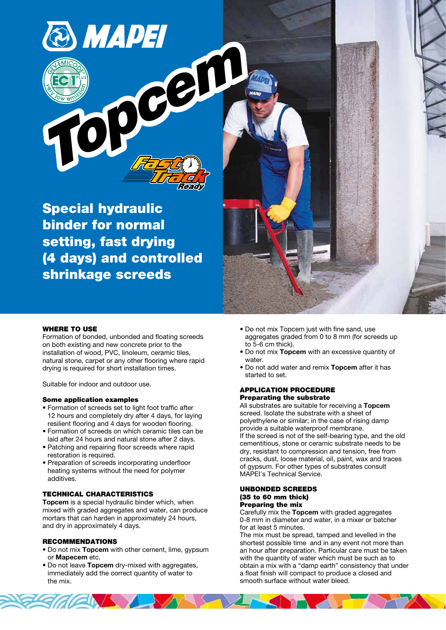Special hydraulic binder for normal setting, fast drying (4 days) and controlled shrinkage screeds



## WHERE TO USE

Formation of bonded, unbonded and floating screeds on both existing and new concrete prior to the installation of wood, PVC, linoleum, ceramic tiles, natural stone, carpet or any other flooring where rapid drying is required for short installation times.

Suitable for indoor and outdoor use.

#### Some application examples

- Formation of screeds set to light foot traffic after 12 hours and completely dry after 4 days, for laying resilient flooring and 4 days for wooden flooring.
- Formation of screeds on which ceramic tiles can be laid after 24 hours and natural stone after 2 days.
- Patching and repairing floor screeds where rapid restoration is required.
- Preparation of screeds incorporating underfloor heating systems without the need for polymer additives.

## TECHNICAL CHARACTERISTICS

Topcem is a special hydraulic binder which, when mixed with graded aggregates and water, can produce mortars that can harden in approximately 24 hours, and dry in approximately 4 days.

#### RECOMMENDATIONS

- Do not mix Topcem with other cement, lime, gypsum or Mapecem etc.
- Do not leave Topcem dry-mixed with aggregates, immediately add the correct quantity of water to the mix.

EN S

- Do not mix Topcem just with fine sand, use aggregates graded from 0 to 8 mm (for screeds up to 5-6 cm thick).
- Do not mix Topcem with an excessive quantity of water.
- Do not add water and remix Topcem after it has started to set.

#### APPLICATION PROCEDURE Preparating the substrate

All substrates are suitable for receiving a Topcem screed. Isolate the substrate with a sheet of polyethylene or similar; in the case of rising damp provide a suitable waterproof membrane. If the screed is not of the self-bearing type, and the old cementitious, stone or ceramic substrate needs to be dry, resistant to compression and tension, free from cracks, dust, loose material, oil, paint, wax and traces of gypsum. For other types of substrates consult MAPEI's Technical Service.

#### UNBONDED SCREEDS (35 to 60 mm thick) Preparing the mix

Carefully mix the Topcem with graded aggregates 0-8 mm in diameter and water, in a mixer or batcher for at least 5 minutes.

The mix must be spread, tamped and levelled in the shortest possible time and in any event not more than an hour after preparation. Particular care must be taken with the quantity of water which must be such as to obtain a mix with a "damp earth" consistency that under a float finish will compact to produce a closed and smooth surface without water bleed.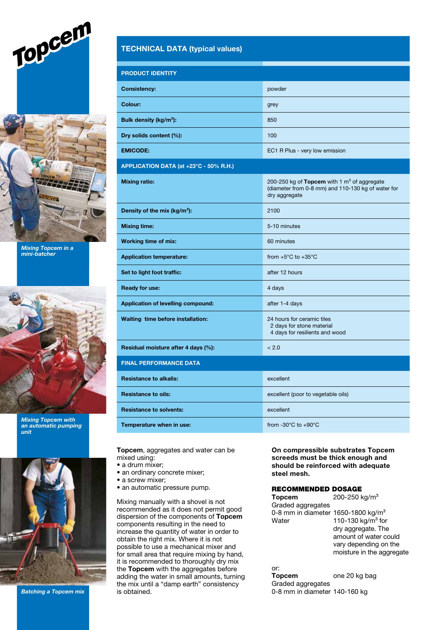



Mixing Topcem in a mini-batcher



Mixing Topcem with an automatic pumping unit



Batching a Topcem mix

# TECHNICAL DATA (typical values)

| <b>PRODUCT IDENTITY</b>                  |                                                                                                                                |  |  |  |
|------------------------------------------|--------------------------------------------------------------------------------------------------------------------------------|--|--|--|
| <b>Consistency:</b>                      | powder                                                                                                                         |  |  |  |
| Colour:                                  | grey                                                                                                                           |  |  |  |
| Bulk density (kg/m <sup>3</sup> ):       | 850                                                                                                                            |  |  |  |
| Dry solids content (%):                  | 100                                                                                                                            |  |  |  |
| <b>EMICODE:</b>                          | EC1 R Plus - very low emission                                                                                                 |  |  |  |
| APPLICATION DATA (at +23°C - 50% R.H.)   |                                                                                                                                |  |  |  |
| <b>Mixing ratio:</b>                     | 200-250 kg of Topcem with 1 m <sup>3</sup> of aggregate<br>(diameter from 0-8 mm) and 110-130 kg of water for<br>dry aggregate |  |  |  |
| Density of the mix (kg/m <sup>3</sup> ): | 2100                                                                                                                           |  |  |  |
| <b>Mixing time:</b>                      | 5-10 minutes                                                                                                                   |  |  |  |
| <b>Working time of mix:</b>              | 60 minutes                                                                                                                     |  |  |  |
| <b>Application temperature:</b>          | from $+5^{\circ}$ C to $+35^{\circ}$ C                                                                                         |  |  |  |
| Set to light foot traffic:               | after 12 hours                                                                                                                 |  |  |  |
| <b>Ready for use:</b>                    | 4 days                                                                                                                         |  |  |  |
| Application of levelling compound:       | after 1-4 days                                                                                                                 |  |  |  |
| Waiting time before installation:        | 24 hours for ceramic tiles<br>2 days for stone material<br>4 days for resilients and wood                                      |  |  |  |
| Residual moisture after 4 days (%):      | < 2.0                                                                                                                          |  |  |  |
| <b>FINAL PERFORMANCE DATA</b>            |                                                                                                                                |  |  |  |
| <b>Resistance to alkalis:</b>            | excellent                                                                                                                      |  |  |  |
| <b>Resistance to oils:</b>               | excellent (poor to vegetable oils)                                                                                             |  |  |  |
| <b>Resistance to solvents:</b>           | excellent                                                                                                                      |  |  |  |
| Temperature when in use:                 | from -30°C to +90°C                                                                                                            |  |  |  |

Topcem, aggregates and water can be mixed using:

- a drum mixer;
- an ordinary concrete mixer;
- a screw mixer;
- an automatic pressure pump.

Mixing manually with a shovel is not recommended as it does not permit good dispersion of the components of Topcem components resulting in the need to increase the quantity of water in order to obtain the right mix. Where it is not possible to use a mechanical mixer and for small area that require mixing by hand, it is recommended to thoroughly dry mix the Topcem with the aggregates before adding the water in small amounts, turning the mix until a "damp earth" consistency is obtained.

On compressible substrates Topcem screeds must be thick enough and should be reinforced with adequate steel mesh.

#### RECOMMENDED DOSAGE

| Topcem                                         | 200-250 kg/m <sup>3</sup>     |
|------------------------------------------------|-------------------------------|
| Graded aggregates                              |                               |
| 0-8 mm in diameter 1650-1800 kg/m <sup>3</sup> |                               |
| Water                                          | 110-130 kg/m <sup>3</sup> for |
|                                                | dry aggregate. The            |
|                                                | amount of water could         |
|                                                | vary depending on the         |
|                                                | moisture in the aggregate     |
|                                                |                               |

# or:<br>Topcem

one 20 kg bag Graded aggregates 0-8 mm in diameter 140-160 kg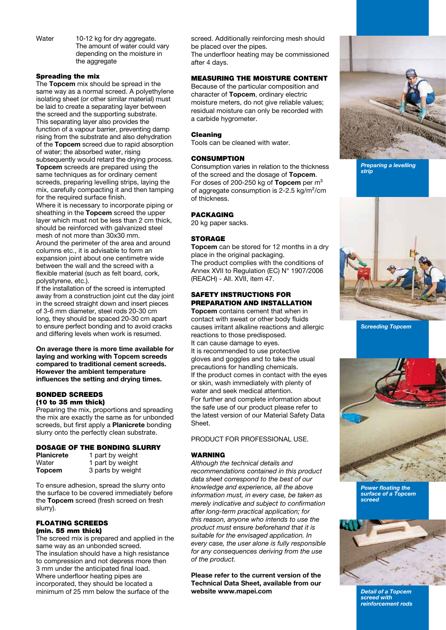Water 10-12 kg for dry aggregate. The amount of water could vary depending on the moisture in the aggregate

# Spreading the mix

The Topcem mix should be spread in the same way as a normal screed. A polyethylene isolating sheet (or other similar material) must be laid to create a separating layer between the screed and the supporting substrate. This separating layer also provides the function of a vapour barrier, preventing damp rising from the substrate and also dehydration of the Topcem screed due to rapid absorption of water; the absorbed water, rising subsequently would retard the drying process. Topcem screeds are prepared using the same techniques as for ordinary cement screeds, preparing levelling strips, laying the mix, carefully compacting it and then tamping for the required surface finish.

Where it is necessary to incorporate piping or sheathing in the Topcem screed the upper layer which must not be less than 2 cm thick, should be reinforced with galvanized steel mesh of not more than 30x30 mm. Around the perimeter of the area and around columns etc., it is advisable to form an expansion joint about one centimetre wide between the wall and the screed with a flexible material (such as felt board, cork, polystyrene, etc.).

If the installation of the screed is interrupted away from a construction joint cut the day joint in the screed straight down and insert pieces of 3-6 mm diameter, steel rods 20-30 cm long, they should be spaced 20-30 cm apart to ensure perfect bonding and to avoid cracks and differing levels when work is resumed.

On average there is more time available for laying and working with Topcem screeds compared to traditional cement screeds. However the ambient temperature influences the setting and drying times.

## BONDED SCREEDS (10 to 35 mm thick)

Preparing the mix, proportions and spreading the mix are exactly the same as for unbonded screeds, but first apply a **Planicrete** bonding slurry onto the perfectly clean substrate.

# DOSAGE OF THE BONDING SLURRY

| <b>Planicrete</b> | 1 part by weight  |
|-------------------|-------------------|
| Water             | 1 part by weight  |
| <b>Topcem</b>     | 3 parts by weight |

To ensure adhesion, spread the slurry onto the surface to be covered immediately before the Topcem screed (fresh screed on fresh slurry).

# FLOATING SCREEDS (min. 55 mm thick)

The screed mix is prepared and applied in the same way as an unbonded screed. The insulation should have a high resistance to compression and not depress more then 3 mm under the anticipated final load. Where underfloor heating pipes are incorporated, they should be located a minimum of 25 mm below the surface of the

screed. Additionally reinforcing mesh should be placed over the pipes. The underfloor heating may be commissioned after 4 days.

# MEASURING THE MOISTURE CONTENT

Because of the particular composition and character of Topcem, ordinary electric moisture meters, do not give reliable values; residual moisture can only be recorded with a carbide hygrometer.

## Cleaning

Tools can be cleaned with water.

# **CONSUMPTION**

Consumption varies in relation to the thickness of the screed and the dosage of Topcem. For doses of 200-250 kg of Topcem per  $m<sup>3</sup>$ of aggregate consumption is 2-2.5 kg/m²/cm of thickness.

# PACKAGING

20 kg paper sacks.

# **STORAGE**

Topcem can be stored for 12 months in a dry place in the original packaging. The product complies with the conditions of Annex XVII to Regulation (EC) N° 1907/2006 (REACH) - All. XVII, item 47.

# SAFETY INSTRUCTIONS FOR PREPARATION AND INSTALLATION

Topcem contains cement that when in contact with sweat or other body fluids causes irritant alkaline reactions and allergic reactions to those predisposed. It can cause damage to eyes. It is recommended to use protective gloves and goggles and to take the usual precautions for handling chemicals. If the product comes in contact with the eyes or skin, wash immediately with plenty of water and seek medical attention. For further and complete information about the safe use of our product please refer to the latest version of our Material Safety Data Sheet.

PRODUCT FOR PROFESSIONAL USE.

# WARNING

Although the technical details and recommendations contained in this product data sheet correspond to the best of our knowledge and experience, all the above information must, in every case, be taken as merely indicative and subject to confirmation after long-term practical application; for this reason, anyone who intends to use the product must ensure beforehand that it is suitable for the envisaged application. In every case, the user alone is fully responsible for any consequences deriving from the use of the product.

Please refer to the current version of the Technical Data Sheet, available from our website www.mapei.com



Preparing a levelling strip



Screeding Topcem



Power floating the surface of a Topcem screed



Detail of a Topcem screed with reinforcement rods